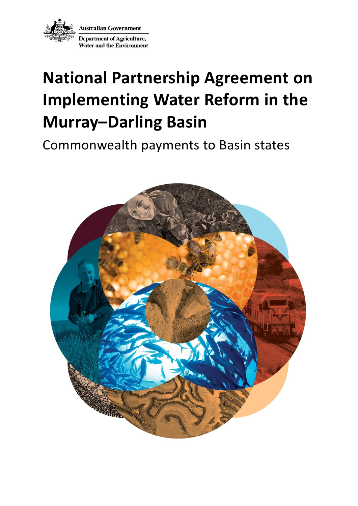

# **National Partnership Agreement on Implementing Water Reform in the Murray–Darling Basin**

Commonwealth payments to Basin states

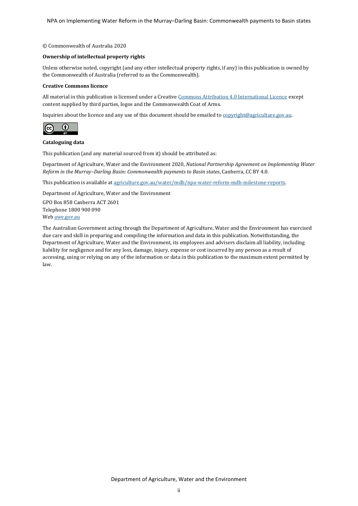NPA on Implementing Water Reform in the Murray–Darling Basin: Commonwealth payments to Basin states

#### © Commonwealth of Australia 2020

## **Ownership of intellectual property rights**

Unless otherwise noted, copyright (and any other intellectual property rights, if any) in this publication is owned by the Commonwealth of Australia (referred to as the Commonwealth).

#### **Creative Commons licence**

All material in this publication is licensed under a Creativ[e Commons Attribution 4.0 International Licence](https://creativecommons.org/licenses/by/4.0/legalcode) except content supplied by third parties, logos and the Commonwealth Coat of Arms.

Inquiries about the licence and any use of this document should be emailed t[o copyright@agriculture.gov.au.](mailto:copyright@agriculture.gov.au)



## **Cataloguing data**

This publication (and any material sourced from it) should be attributed as:

Department of Agriculture, Water and the Environment 2020, *National Partnership Agreement on Implementing Water Reform in the Murray–Darling Basin: Commonwealth payments to Basin states*, Canberra, CC BY 4.0.

This publication is available a[t agriculture.gov.au/water/mdb/npa-water-reform-mdb-milestone-reports.](http://www.agriculture.gov.au/water/mdb/npa-water-reform-mdb-milestone-reports)

Department of Agriculture, Water and the Environment

GPO Box 858 Canberra ACT 2601 Telephone 1800 900 090 We[b awe.gov.au](http://agriculture.gov.au/)

The Australian Government acting through the Department of Agriculture, Water and the Environment has exercised due care and skill in preparing and compiling the information and data in this publication. Notwithstanding, the Department of Agriculture, Water and the Environment, its employees and advisers disclaim all liability, including liability for negligence and for any loss, damage, injury, expense or cost incurred by any person as a result of accessing, using or relying on any of the information or data in this publication to the maximum extent permitted by law.